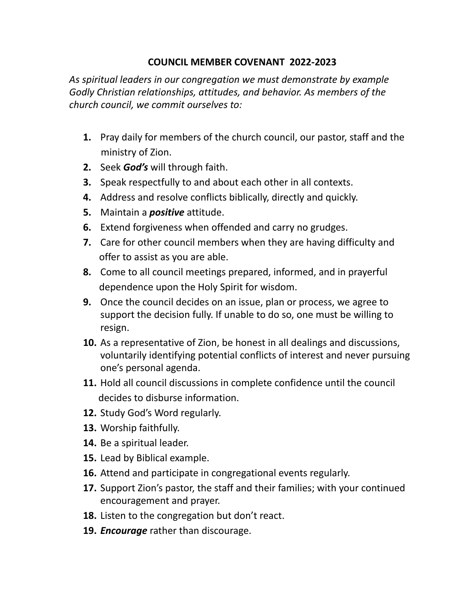## **COUNCIL MEMBER COVENANT 2022-2023**

*As spiritual leaders in our congregation we must demonstrate by example Godly Christian relationships, attitudes, and behavior. As members of the church council, we commit ourselves to:*

- **1.** Pray daily for members of the church council, our pastor, staff and the ministry of Zion.
- **2.** Seek *God's* will through faith.
- **3.** Speak respectfully to and about each other in all contexts.
- **4.** Address and resolve conflicts biblically, directly and quickly.
- **5.** Maintain a *positive* attitude.
- **6.** Extend forgiveness when offended and carry no grudges.
- **7.** Care for other council members when they are having difficulty and offer to assist as you are able.
- **8.** Come to all council meetings prepared, informed, and in prayerful dependence upon the Holy Spirit for wisdom.
- **9.** Once the council decides on an issue, plan or process, we agree to support the decision fully. If unable to do so, one must be willing to resign.
- **10.** As a representative of Zion, be honest in all dealings and discussions, voluntarily identifying potential conflicts of interest and never pursuing one's personal agenda.
- **11.** Hold all council discussions in complete confidence until the council decides to disburse information.
- **12.** Study God's Word regularly.
- **13.** Worship faithfully.
- **14.** Be a spiritual leader.
- **15.** Lead by Biblical example.
- **16.** Attend and participate in congregational events regularly.
- **17.** Support Zion's pastor, the staff and their families; with your continued encouragement and prayer.
- **18.** Listen to the congregation but don't react.
- **19.** *Encourage* rather than discourage.